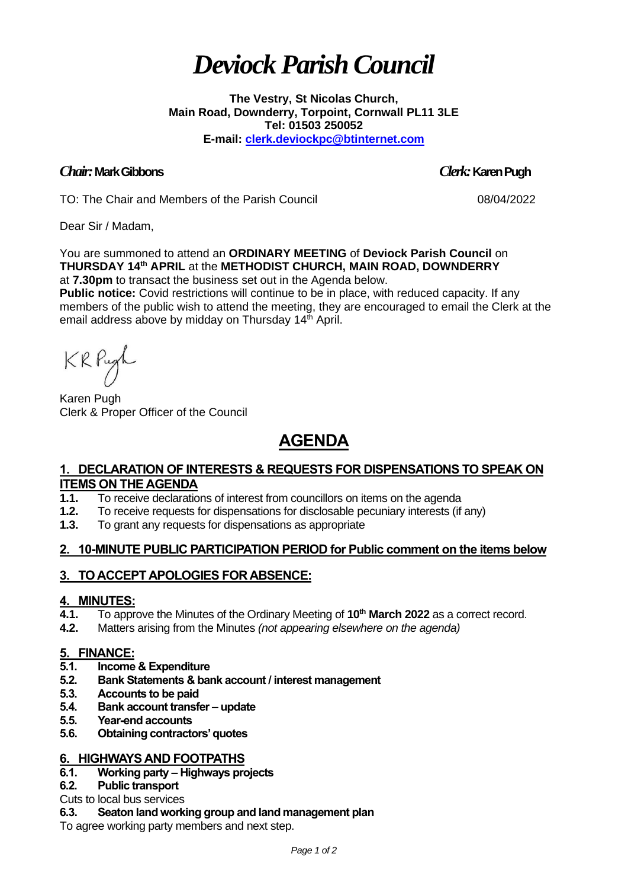# *Deviock Parish Council*

**The Vestry, St Nicolas Church, Main Road, Downderry, Torpoint, Cornwall PL11 3LE Tel: 01503 250052 E-mail: [clerk.deviockpc@btinternet.com](mailto:clerk.deviockpc@btinternet.com)**

## *Chair:* **Mark Gibbons** *Clerk:* **Karen Pugh**

TO: The Chair and Members of the Parish Council 08/04/2022

Dear Sir / Madam,

You are summoned to attend an **ORDINARY MEETING** of **Deviock Parish Council** on **THURSDAY 14 th APRIL** at the **METHODIST CHURCH, MAIN ROAD, DOWNDERRY**

at **7.30pm** to transact the business set out in the Agenda below. **Public notice:** Covid restrictions will continue to be in place, with reduced capacity. If any

members of the public wish to attend the meeting, they are encouraged to email the Clerk at the email address above by midday on Thursday 14<sup>th</sup> April.

KRPugh

Karen Pugh Clerk & Proper Officer of the Council

# **AGENDA**

#### **1. DECLARATION OF INTERESTS & REQUESTS FOR DISPENSATIONS TO SPEAK ON ITEMS ON THE AGENDA**

- **1.1.** To receive declarations of interest from councillors on items on the agenda
- **1.2.** To receive requests for dispensations for disclosable pecuniary interests (if any)
- **1.3.** To grant any requests for dispensations as appropriate

# **2. 10-MINUTE PUBLIC PARTICIPATION PERIOD for Public comment on the items below**

# **3. TO ACCEPT APOLOGIES FOR ABSENCE:**

#### **4. MINUTES:**

- **4.1.** To approve the Minutes of the Ordinary Meeting of **10 th March 2022** as a correct record.
- **4.2.** Matters arising from the Minutes *(not appearing elsewhere on the agenda)*

#### **5. FINANCE:**

- **5.1. Income & Expenditure**
- **5.2. Bank Statements & bank account / interest management**
- **5.3. Accounts to be paid**
- **5.4. Bank account transfer – update**
- **5.5. Year-end accounts**
- **5.6. Obtaining contractors' quotes**

#### **6. HIGHWAYS AND FOOTPATHS**

#### **6.1. Working party – Highways projects**

#### **6.2. Public transport**

Cuts to local bus services

#### **6.3. Seaton land working group and land management plan**

To agree working party members and next step.